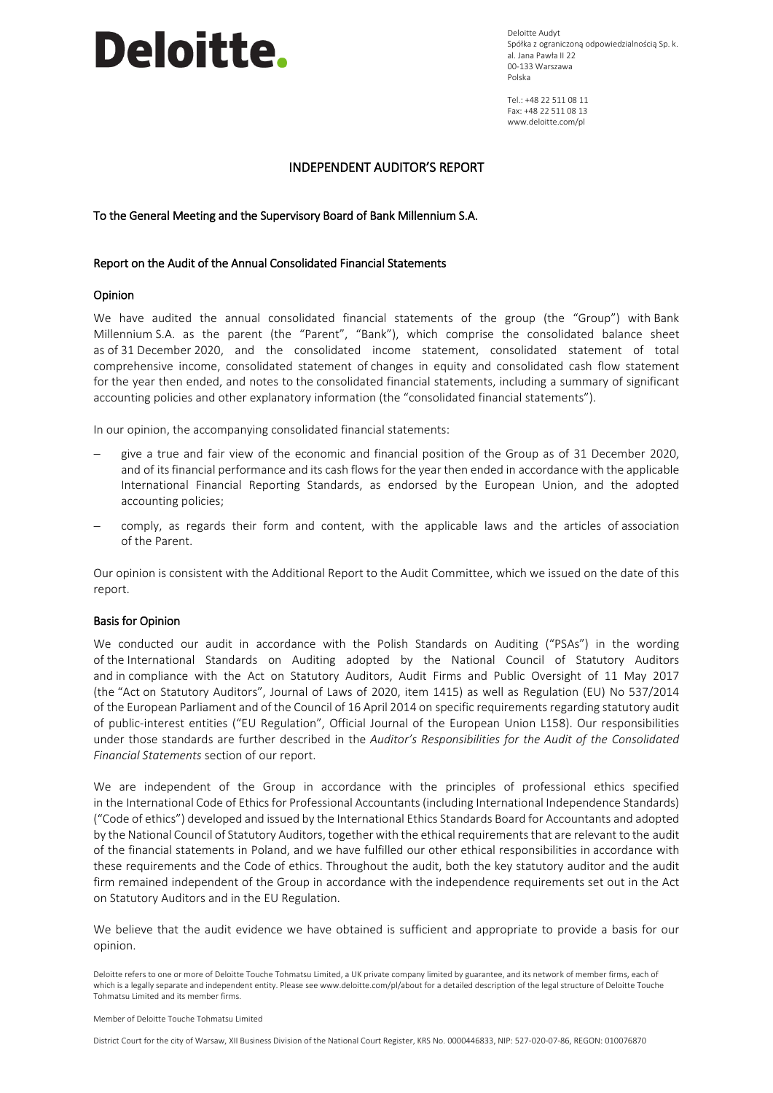Deloitte Audyt Spółka z ograniczoną odpowiedzialnością Sp. k. al. Jana Pawła II 22 00-133 Warszawa Polska

 $Tel + 48 22 511 08 11$ Fax: +48 22 511 08 13 www.deloitte.com/pl

#### INDEPENDENT AUDITOR'S REPORT

To the General Meeting and the Supervisory Board of Bank Millennium S.A.

#### Report on the Audit of the Annual Consolidated Financial Statements

#### Opinion

We have audited the annual consolidated financial statements of the group (the "Group") with Bank Millennium S.A. as the parent (the "Parent", "Bank"), which comprise the consolidated balance sheet as of 31 December 2020, and the consolidated income statement, consolidated statement of total comprehensive income, consolidated statement of changes in equity and consolidated cash flow statement for the year then ended, and notes to the consolidated financial statements, including a summary of significant accounting policies and other explanatory information (the "consolidated financial statements").

In our opinion, the accompanying consolidated financial statements:

- give a true and fair view of the economic and financial position of the Group as of 31 December 2020, and of its financial performance and its cash flows for the year then ended in accordance with the applicable International Financial Reporting Standards, as endorsed by the European Union, and the adopted accounting policies;
- comply, as regards their form and content, with the applicable laws and the articles of association of the Parent.

Our opinion is consistent with the Additional Report to the Audit Committee, which we issued on the date of this report.

#### Basis for Opinion

We conducted our audit in accordance with the Polish Standards on Auditing ("PSAs") in the wording of the International Standards on Auditing adopted by the National Council of Statutory Auditors and in compliance with the Act on Statutory Auditors, Audit Firms and Public Oversight of 11 May 2017 (the "Act on Statutory Auditors", Journal of Laws of 2020, item 1415) as well as Regulation (EU) No 537/2014 of the European Parliament and of the Council of 16 April 2014 on specific requirements regarding statutory audit of public-interest entities ("EU Regulation", Official Journal of the European Union L158). Our responsibilities under those standards are further described in the *Auditor's Responsibilities for the Audit of the Consolidated Financial Statements* section of our report.

We are independent of the Group in accordance with the principles of professional ethics specified in the International Code of Ethics for Professional Accountants (including International Independence Standards) ("Code of ethics") developed and issued by the International Ethics Standards Board for Accountants and adopted by the National Council of Statutory Auditors, together with the ethical requirements that are relevant to the audit of the financial statements in Poland, and we have fulfilled our other ethical responsibilities in accordance with these requirements and the Code of ethics. Throughout the audit, both the key statutory auditor and the audit firm remained independent of the Group in accordance with the independence requirements set out in the Act on Statutory Auditors and in the EU Regulation.

We believe that the audit evidence we have obtained is sufficient and appropriate to provide a basis for our opinion.

Deloitte refers to one or more of Deloitte Touche Tohmatsu Limited, a UK private company limited by guarantee, and its network of member firms, each of which is a legally separate and independent entity. Please see www.deloitte.com/pl/about for a detailed description of the legal structure of Deloitte Touche Tohmatsu Limited and its member firms.

District Court for the city of Warsaw, XII Business Division of the National Court Register, KRS No. 0000446833, NIP: 527-020-07-86, REGON: 010076870

Member of Deloitte Touche Tohmatsu Limited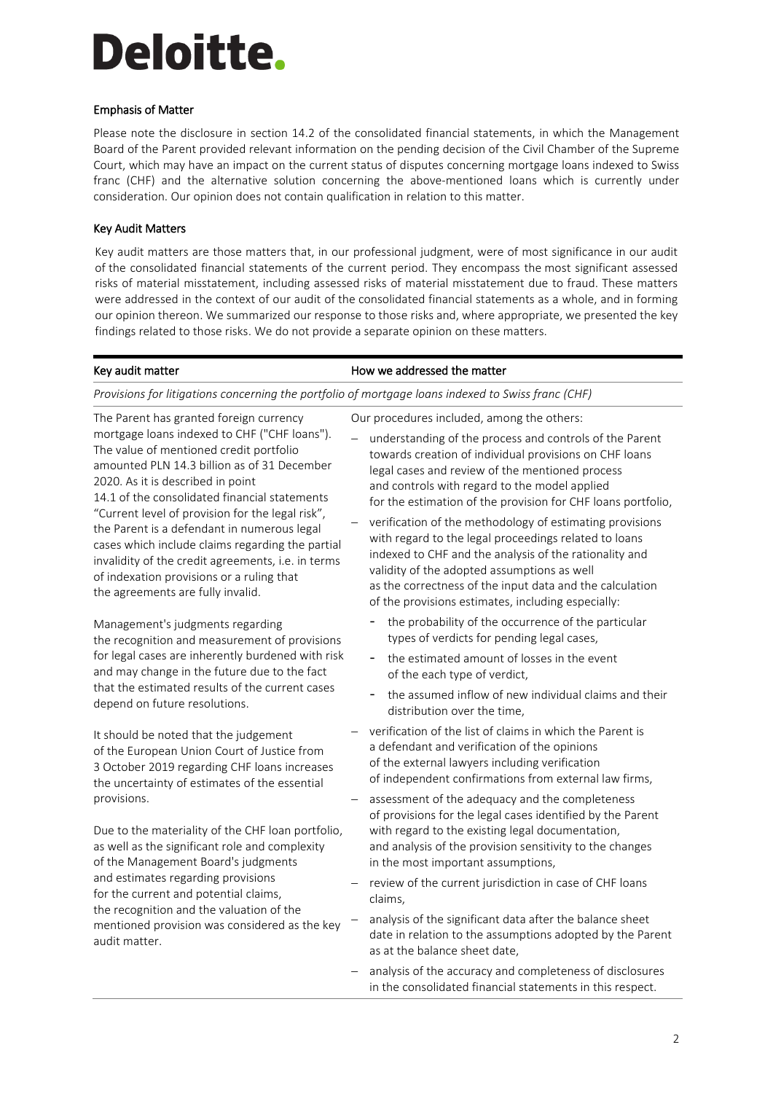### Emphasis of Matter

Please note the disclosure in section 14.2 of the consolidated financial statements, in which the Management Board of the Parent provided relevant information on the pending decision of the Civil Chamber of the Supreme Court, which may have an impact on the current status of disputes concerning mortgage loans indexed to Swiss franc (CHF) and the alternative solution concerning the above-mentioned loans which is currently under consideration. Our opinion does not contain qualification in relation to this matter.

### Key Audit Matters

Key audit matters are those matters that, in our professional judgment, were of most significance in our audit of the consolidated financial statements of the current period. They encompass the most significant assessed risks of material misstatement, including assessed risks of material misstatement due to fraud. These matters were addressed in the context of our audit of the consolidated financial statements as a whole, and in forming our opinion thereon. We summarized our response to those risks and, where appropriate, we presented the key findings related to those risks. We do not provide a separate opinion on these matters.

#### Key audit matter **How we addressed the matter** *Provisions for litigations concerning the portfolio of mortgage loans indexed to Swiss franc (CHF)* The Parent has granted foreign currency mortgage loans indexed to CHF ("CHF loans"). The value of mentioned credit portfolio amounted PLN 14.3 billion as of 31 December 2020. As it is described in point 14.1 of the consolidated financial statements "Current level of provision for the legal risk", the Parent is a defendant in numerous legal cases which include claims regarding the partial invalidity of the credit agreements, i.e. in terms of indexation provisions or a ruling that the agreements are fully invalid. Management's judgments regarding the recognition and measurement of provisions for legal cases are inherently burdened with risk and may change in the future due to the fact that the estimated results of the current cases depend on future resolutions. It should be noted that the judgement of the European Union Court of Justice from 3 October 2019 regarding CHF loans increases the uncertainty of estimates of the essential provisions. Due to the materiality of the CHF loan portfolio, as well as the significant role and complexity of the Management Board's judgments and estimates regarding provisions for the current and potential claims, the recognition and the valuation of the mentioned provision was considered as the key audit matter. Our procedures included, among the others: understanding of the process and controls of the Parent towards creation of individual provisions on CHF loans legal cases and review of the mentioned process and controls with regard to the model applied for the estimation of the provision for CHF loans portfolio, verification of the methodology of estimating provisions with regard to the legal proceedings related to loans indexed to CHF and the analysis of the rationality and validity of the adopted assumptions as well as the correctness of the input data and the calculation of the provisions estimates, including especially: the probability of the occurrence of the particular types of verdicts for pending legal cases, the estimated amount of losses in the event of the each type of verdict, the assumed inflow of new individual claims and their distribution over the time, verification of the list of claims in which the Parent is a defendant and verification of the opinions of the external lawyers including verification of independent confirmations from external law firms, - assessment of the adequacy and the completeness of provisions for the legal cases identified by the Parent with regard to the existing legal documentation, and analysis of the provision sensitivity to the changes in the most important assumptions, review of the current jurisdiction in case of CHF loans claims, analysis of the significant data after the balance sheet date in relation to the assumptions adopted by the Parent as at the balance sheet date, analysis of the accuracy and completeness of disclosures in the consolidated financial statements in this respect.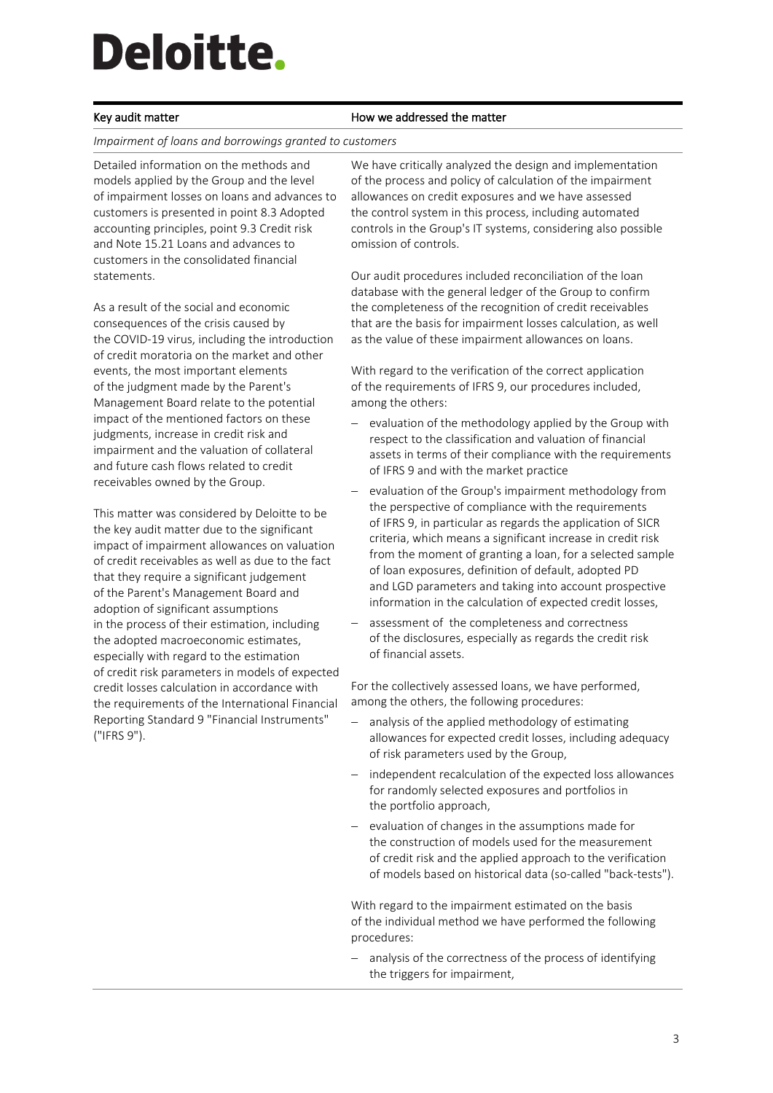#### Key audit matter **How we addressed the matter**

#### *Impairment of loans and borrowings granted to customers*

Detailed information on the methods and models applied by the Group and the level of impairment losses on loans and advances to customers is presented in point 8.3 Adopted accounting principles, point 9.3 Credit risk and Note 15.21 Loans and advances to customers in the consolidated financial statements.

As a result of the social and economic consequences of the crisis caused by the COVID-19 virus, including the introduction of credit moratoria on the market and other events, the most important elements of the judgment made by the Parent's Management Board relate to the potential impact of the mentioned factors on these judgments, increase in credit risk and impairment and the valuation of collateral and future cash flows related to credit receivables owned by the Group.

This matter was considered by Deloitte to be the key audit matter due to the significant impact of impairment allowances on valuation of credit receivables as well as due to the fact that they require a significant judgement of the Parent's Management Board and adoption of significant assumptions in the process of their estimation, including the adopted macroeconomic estimates, especially with regard to the estimation of credit risk parameters in models of expected credit losses calculation in accordance with the requirements of the International Financial Reporting Standard 9 "Financial Instruments" ("IFRS 9").

We have critically analyzed the design and implementation of the process and policy of calculation of the impairment allowances on credit exposures and we have assessed the control system in this process, including automated controls in the Group's IT systems, considering also possible omission of controls.

Our audit procedures included reconciliation of the loan database with the general ledger of the Group to confirm the completeness of the recognition of credit receivables that are the basis for impairment losses calculation, as well as the value of these impairment allowances on loans.

With regard to the verification of the correct application of the requirements of IFRS 9, our procedures included, among the others:

- evaluation of the methodology applied by the Group with respect to the classification and valuation of financial assets in terms of their compliance with the requirements of IFRS 9 and with the market practice
- evaluation of the Group's impairment methodology from the perspective of compliance with the requirements of IFRS 9, in particular as regards the application of SICR criteria, which means a significant increase in credit risk from the moment of granting a loan, for a selected sample of loan exposures, definition of default, adopted PD and LGD parameters and taking into account prospective information in the calculation of expected credit losses,
- assessment of the completeness and correctness of the disclosures, especially as regards the credit risk of financial assets.

For the collectively assessed loans, we have performed, among the others, the following procedures:

- analysis of the applied methodology of estimating allowances for expected credit losses, including adequacy of risk parameters used by the Group,
- independent recalculation of the expected loss allowances for randomly selected exposures and portfolios in the portfolio approach,
- evaluation of changes in the assumptions made for the construction of models used for the measurement of credit risk and the applied approach to the verification of models based on historical data (so-called "back-tests").

With regard to the impairment estimated on the basis of the individual method we have performed the following procedures:

 analysis of the correctness of the process of identifying the triggers for impairment,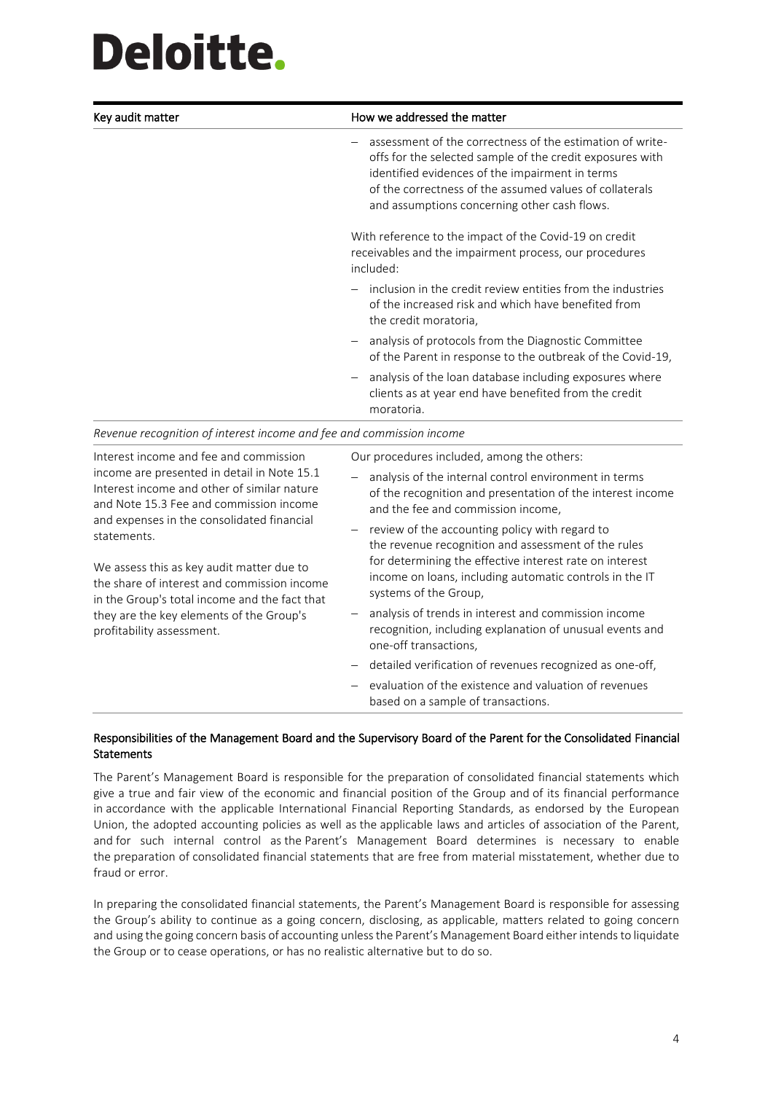| Key audit matter                                                     | How we addressed the matter                                                                                                                                                                                                                                                          |  |
|----------------------------------------------------------------------|--------------------------------------------------------------------------------------------------------------------------------------------------------------------------------------------------------------------------------------------------------------------------------------|--|
|                                                                      | assessment of the correctness of the estimation of write-<br>offs for the selected sample of the credit exposures with<br>identified evidences of the impairment in terms<br>of the correctness of the assumed values of collaterals<br>and assumptions concerning other cash flows. |  |
|                                                                      | With reference to the impact of the Covid-19 on credit<br>receivables and the impairment process, our procedures<br>included:                                                                                                                                                        |  |
|                                                                      | inclusion in the credit review entities from the industries<br>of the increased risk and which have benefited from<br>the credit moratoria,                                                                                                                                          |  |
|                                                                      | analysis of protocols from the Diagnostic Committee<br>of the Parent in response to the outbreak of the Covid-19,                                                                                                                                                                    |  |
|                                                                      | analysis of the loan database including exposures where<br>clients as at year end have benefited from the credit<br>moratoria.                                                                                                                                                       |  |
| Revenue recognition of interest income and fee and commission income |                                                                                                                                                                                                                                                                                      |  |

| Interest income and fee and commission<br>income are presented in detail in Note 15.1<br>Interest income and other of similar nature<br>and Note 15.3 Fee and commission income<br>and expenses in the consolidated financial<br>statements.<br>We assess this as key audit matter due to<br>the share of interest and commission income<br>in the Group's total income and the fact that<br>they are the key elements of the Group's<br>profitability assessment. | Our procedures included, among the others: |                                                                                                                                                           |  |
|--------------------------------------------------------------------------------------------------------------------------------------------------------------------------------------------------------------------------------------------------------------------------------------------------------------------------------------------------------------------------------------------------------------------------------------------------------------------|--------------------------------------------|-----------------------------------------------------------------------------------------------------------------------------------------------------------|--|
|                                                                                                                                                                                                                                                                                                                                                                                                                                                                    |                                            | analysis of the internal control environment in terms<br>of the recognition and presentation of the interest income<br>and the fee and commission income, |  |
|                                                                                                                                                                                                                                                                                                                                                                                                                                                                    |                                            | - review of the accounting policy with regard to<br>the revenue recognition and assessment of the rules                                                   |  |
|                                                                                                                                                                                                                                                                                                                                                                                                                                                                    |                                            | for determining the effective interest rate on interest<br>income on loans, including automatic controls in the IT<br>systems of the Group,               |  |
|                                                                                                                                                                                                                                                                                                                                                                                                                                                                    |                                            | analysis of trends in interest and commission income<br>recognition, including explanation of unusual events and<br>one-off transactions,                 |  |
|                                                                                                                                                                                                                                                                                                                                                                                                                                                                    |                                            | - detailed verification of revenues recognized as one-off,                                                                                                |  |
|                                                                                                                                                                                                                                                                                                                                                                                                                                                                    |                                            | - evaluation of the existence and valuation of revenues<br>based on a sample of transactions.                                                             |  |

### Responsibilities of the Management Board and the Supervisory Board of the Parent for the Consolidated Financial **Statements**

The Parent's Management Board is responsible for the preparation of consolidated financial statements which give a true and fair view of the economic and financial position of the Group and of its financial performance in accordance with the applicable International Financial Reporting Standards, as endorsed by the European Union, the adopted accounting policies as well as the applicable laws and articles of association of the Parent, and for such internal control as the Parent's Management Board determines is necessary to enable the preparation of consolidated financial statements that are free from material misstatement, whether due to fraud or error.

In preparing the consolidated financial statements, the Parent's Management Board is responsible for assessing the Group's ability to continue as a going concern, disclosing, as applicable, matters related to going concern and using the going concern basis of accounting unless the Parent's Management Board either intends to liquidate the Group or to cease operations, or has no realistic alternative but to do so.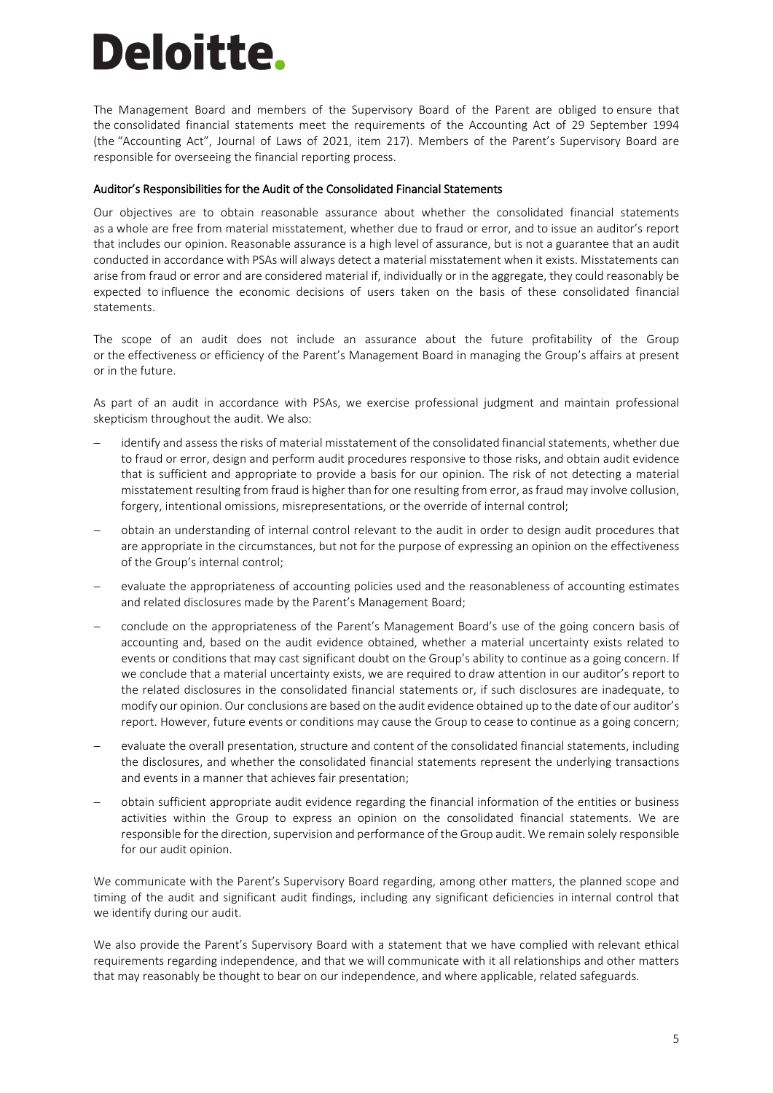The Management Board and members of the Supervisory Board of the Parent are obliged to ensure that the consolidated financial statements meet the requirements of the Accounting Act of 29 September 1994 (the "Accounting Act", Journal of Laws of 2021, item 217). Members of the Parent's Supervisory Board are responsible for overseeing the financial reporting process.

#### Auditor's Responsibilities for the Audit of the Consolidated Financial Statements

Our objectives are to obtain reasonable assurance about whether the consolidated financial statements as a whole are free from material misstatement, whether due to fraud or error, and to issue an auditor's report that includes our opinion. Reasonable assurance is a high level of assurance, but is not a guarantee that an audit conducted in accordance with PSAs will always detect a material misstatement when it exists. Misstatements can arise from fraud or error and are considered material if, individually or in the aggregate, they could reasonably be expected to influence the economic decisions of users taken on the basis of these consolidated financial statements.

The scope of an audit does not include an assurance about the future profitability of the Group or the effectiveness or efficiency of the Parent's Management Board in managing the Group's affairs at present or in the future.

As part of an audit in accordance with PSAs, we exercise professional judgment and maintain professional skepticism throughout the audit. We also:

- identify and assess the risks of material misstatement of the consolidated financial statements, whether due to fraud or error, design and perform audit procedures responsive to those risks, and obtain audit evidence that is sufficient and appropriate to provide a basis for our opinion. The risk of not detecting a material misstatement resulting from fraud is higher than for one resulting from error, asfraud may involve collusion, forgery, intentional omissions, misrepresentations, or the override of internal control;
- obtain an understanding of internal control relevant to the audit in order to design audit procedures that are appropriate in the circumstances, but not for the purpose of expressing an opinion on the effectiveness of the Group's internal control;
- evaluate the appropriateness of accounting policies used and the reasonableness of accounting estimates and related disclosures made by the Parent's Management Board;
- conclude on the appropriateness of the Parent's Management Board's use of the going concern basis of accounting and, based on the audit evidence obtained, whether a material uncertainty exists related to events or conditions that may cast significant doubt on the Group's ability to continue as a going concern. If we conclude that a material uncertainty exists, we are required to draw attention in our auditor's report to the related disclosures in the consolidated financial statements or, if such disclosures are inadequate, to modify our opinion. Our conclusions are based on the audit evidence obtained up to the date of our auditor's report. However, future events or conditions may cause the Group to cease to continue as a going concern;
- evaluate the overall presentation, structure and content of the consolidated financial statements, including the disclosures, and whether the consolidated financial statements represent the underlying transactions and events in a manner that achieves fair presentation;
- obtain sufficient appropriate audit evidence regarding the financial information of the entities or business activities within the Group to express an opinion on the consolidated financial statements. We are responsible for the direction, supervision and performance of the Group audit. We remain solely responsible for our audit opinion.

We communicate with the Parent's Supervisory Board regarding, among other matters, the planned scope and timing of the audit and significant audit findings, including any significant deficiencies in internal control that we identify during our audit.

We also provide the Parent's Supervisory Board with a statement that we have complied with relevant ethical requirements regarding independence, and that we will communicate with it all relationships and other matters that may reasonably be thought to bear on our independence, and where applicable, related safeguards.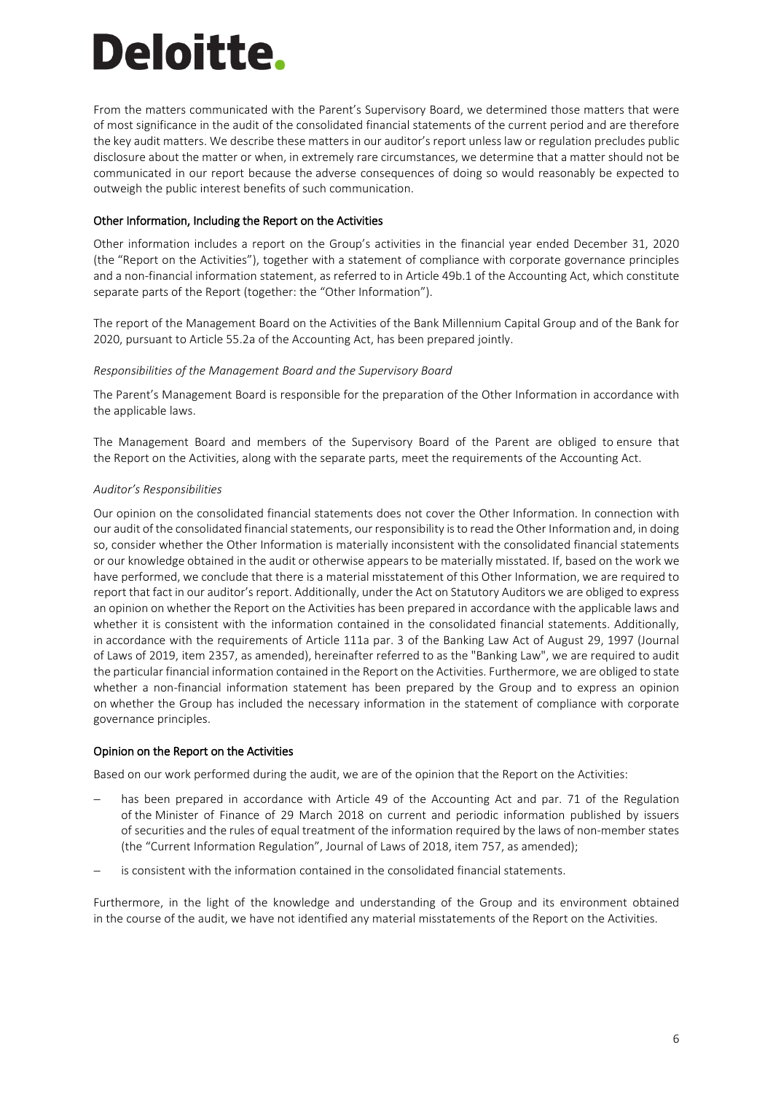From the matters communicated with the Parent's Supervisory Board, we determined those matters that were of most significance in the audit of the consolidated financial statements of the current period and are therefore the key audit matters. We describe these matters in our auditor's report unless law or regulation precludes public disclosure about the matter or when, in extremely rare circumstances, we determine that a matter should not be communicated in our report because the adverse consequences of doing so would reasonably be expected to outweigh the public interest benefits of such communication.

#### Other Information, Including the Report on the Activities

Other information includes a report on the Group's activities in the financial year ended December 31, 2020 (the "Report on the Activities"), together with a statement of compliance with corporate governance principles and a non-financial information statement, as referred to in Article 49b.1 of the Accounting Act, which constitute separate parts of the Report (together: the "Other Information").

The report of the Management Board on the Activities of the Bank Millennium Capital Group and of the Bank for 2020, pursuant to Article 55.2a of the Accounting Act, has been prepared jointly.

#### *Responsibilities of the Management Board and the Supervisory Board*

The Parent's Management Board is responsible for the preparation of the Other Information in accordance with the applicable laws.

The Management Board and members of the Supervisory Board of the Parent are obliged to ensure that the Report on the Activities, along with the separate parts, meet the requirements of the Accounting Act.

#### *Auditor's Responsibilities*

Our opinion on the consolidated financial statements does not cover the Other Information. In connection with our audit of the consolidated financial statements, our responsibility is to read the Other Information and, in doing so, consider whether the Other Information is materially inconsistent with the consolidated financial statements or our knowledge obtained in the audit or otherwise appears to be materially misstated. If, based on the work we have performed, we conclude that there is a material misstatement of this Other Information, we are required to report that fact in our auditor's report. Additionally, under the Act on Statutory Auditors we are obliged to express an opinion on whether the Report on the Activities has been prepared in accordance with the applicable laws and whether it is consistent with the information contained in the consolidated financial statements. Additionally, in accordance with the requirements of Article 111a par. 3 of the Banking Law Act of August 29, 1997 (Journal of Laws of 2019, item 2357, as amended), hereinafter referred to as the "Banking Law", we are required to audit the particular financial information contained in the Report on the Activities. Furthermore, we are obliged to state whether a non-financial information statement has been prepared by the Group and to express an opinion on whether the Group has included the necessary information in the statement of compliance with corporate governance principles.

### Opinion on the Report on the Activities

Based on our work performed during the audit, we are of the opinion that the Report on the Activities:

- has been prepared in accordance with Article 49 of the Accounting Act and par. 71 of the Regulation of the Minister of Finance of 29 March 2018 on current and periodic information published by issuers of securities and the rules of equal treatment of the information required by the laws of non-member states (the "Current Information Regulation", Journal of Laws of 2018, item 757, as amended);
- is consistent with the information contained in the consolidated financial statements.

Furthermore, in the light of the knowledge and understanding of the Group and its environment obtained in the course of the audit, we have not identified any material misstatements of the Report on the Activities.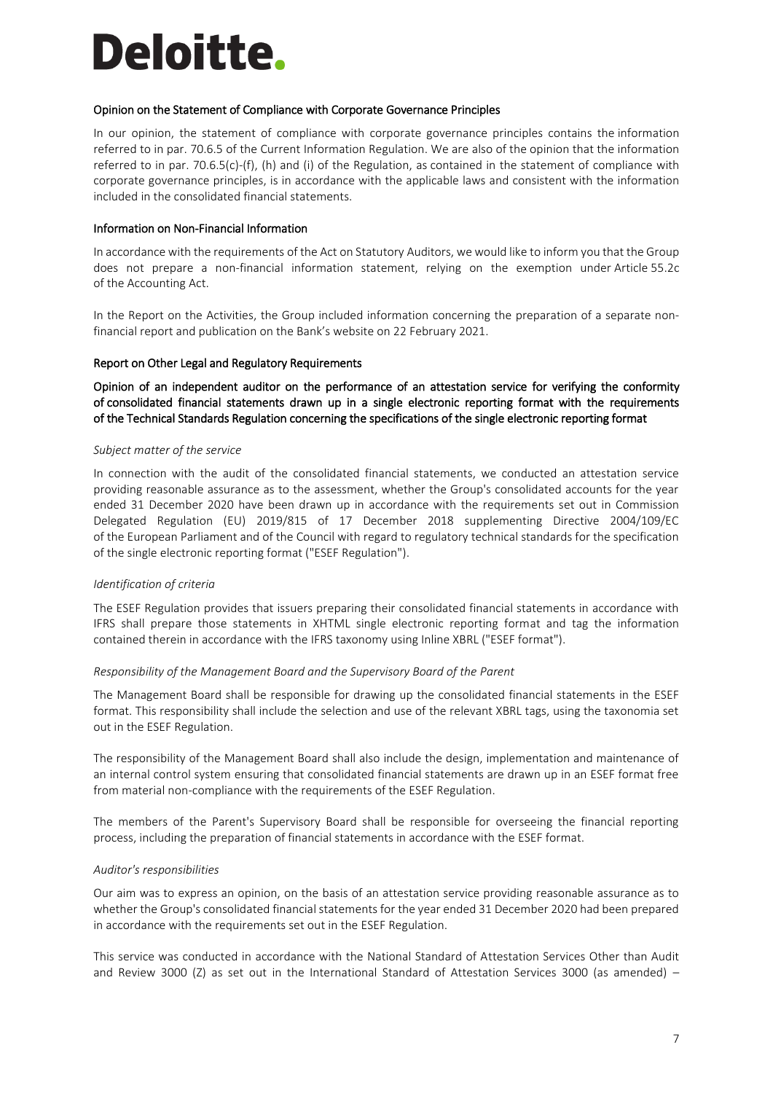#### Opinion on the Statement of Compliance with Corporate Governance Principles

In our opinion, the statement of compliance with corporate governance principles contains the information referred to in par. 70.6.5 of the Current Information Regulation. We are also of the opinion that the information referred to in par. 70.6.5(c)-(f), (h) and (i) of the Regulation, as contained in the statement of compliance with corporate governance principles, is in accordance with the applicable laws and consistent with the information included in the consolidated financial statements.

### Information on Non-Financial Information

In accordance with the requirements of the Act on Statutory Auditors, we would like to inform you that the Group does not prepare a non-financial information statement, relying on the exemption under Article 55.2c of the Accounting Act.

In the Report on the Activities, the Group included information concerning the preparation of a separate nonfinancial report and publication on the Bank's website on 22 February 2021.

### Report on Other Legal and Regulatory Requirements

Opinion of an independent auditor on the performance of an attestation service for verifying the conformity of consolidated financial statements drawn up in a single electronic reporting format with the requirements of the Technical Standards Regulation concerning the specifications of the single electronic reporting format

#### *Subject matter of the service*

In connection with the audit of the consolidated financial statements, we conducted an attestation service providing reasonable assurance as to the assessment, whether the Group's consolidated accounts for the year ended 31 December 2020 have been drawn up in accordance with the requirements set out in Commission Delegated Regulation (EU) 2019/815 of 17 December 2018 supplementing Directive 2004/109/EC of the European Parliament and of the Council with regard to regulatory technical standards for the specification of the single electronic reporting format ("ESEF Regulation").

### *Identification of criteria*

The ESEF Regulation provides that issuers preparing their consolidated financial statements in accordance with IFRS shall prepare those statements in XHTML single electronic reporting format and tag the information contained therein in accordance with the IFRS taxonomy using Inline XBRL ("ESEF format").

### *Responsibility of the Management Board and the Supervisory Board of the Parent*

The Management Board shall be responsible for drawing up the consolidated financial statements in the ESEF format. This responsibility shall include the selection and use of the relevant XBRL tags, using the taxonomia set out in the ESEF Regulation.

The responsibility of the Management Board shall also include the design, implementation and maintenance of an internal control system ensuring that consolidated financial statements are drawn up in an ESEF format free from material non-compliance with the requirements of the ESEF Regulation.

The members of the Parent's Supervisory Board shall be responsible for overseeing the financial reporting process, including the preparation of financial statements in accordance with the ESEF format.

### *Auditor's responsibilities*

Our aim was to express an opinion, on the basis of an attestation service providing reasonable assurance as to whether the Group's consolidated financial statements for the year ended 31 December 2020 had been prepared in accordance with the requirements set out in the ESEF Regulation.

This service was conducted in accordance with the National Standard of Attestation Services Other than Audit and Review 3000 (Z) as set out in the International Standard of Attestation Services 3000 (as amended) –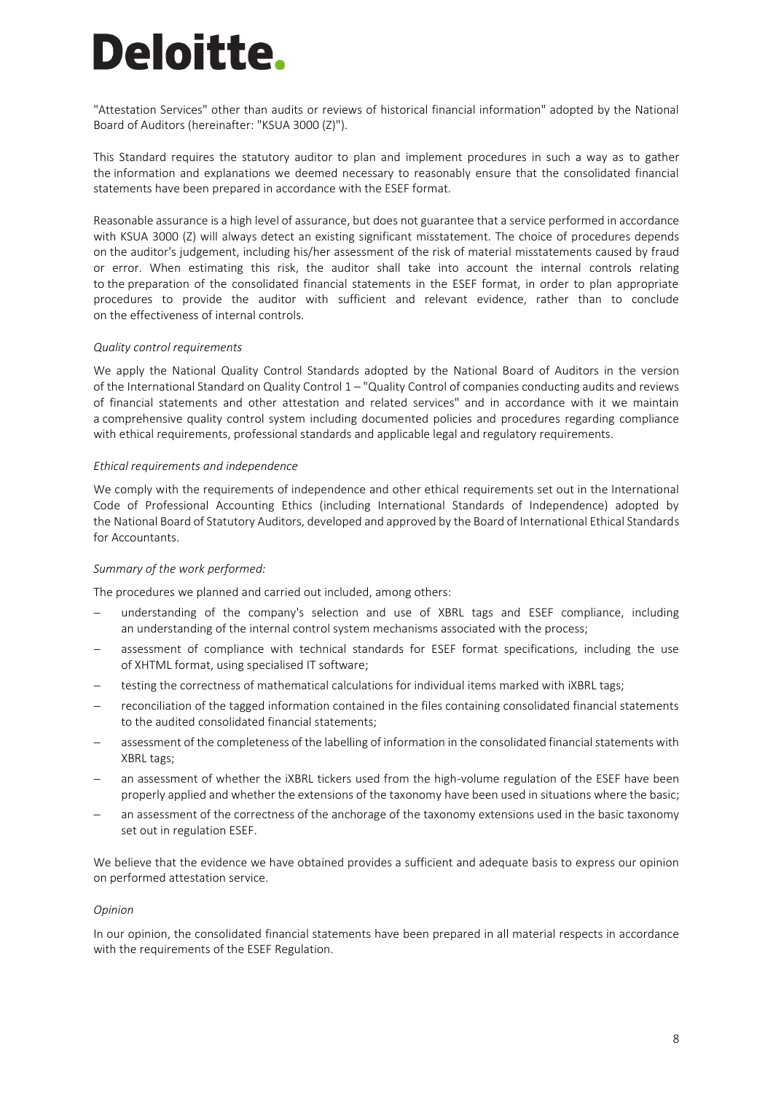"Attestation Services" other than audits or reviews of historical financial information" adopted by the National Board of Auditors (hereinafter: "KSUA 3000 (Z)").

This Standard requires the statutory auditor to plan and implement procedures in such a way as to gather the information and explanations we deemed necessary to reasonably ensure that the consolidated financial statements have been prepared in accordance with the ESEF format.

Reasonable assurance is a high level of assurance, but does not guarantee that a service performed in accordance with KSUA 3000 (Z) will always detect an existing significant misstatement. The choice of procedures depends on the auditor's judgement, including his/her assessment of the risk of material misstatements caused by fraud or error. When estimating this risk, the auditor shall take into account the internal controls relating to the preparation of the consolidated financial statements in the ESEF format, in order to plan appropriate procedures to provide the auditor with sufficient and relevant evidence, rather than to conclude on the effectiveness of internal controls.

#### *Quality control requirements*

We apply the National Quality Control Standards adopted by the National Board of Auditors in the version of the International Standard on Quality Control 1 – "Quality Control of companies conducting audits and reviews of financial statements and other attestation and related services" and in accordance with it we maintain a comprehensive quality control system including documented policies and procedures regarding compliance with ethical requirements, professional standards and applicable legal and regulatory requirements.

#### *Ethical requirements and independence*

We comply with the requirements of independence and other ethical requirements set out in the International Code of Professional Accounting Ethics (including International Standards of Independence) adopted by the National Board of Statutory Auditors, developed and approved by the Board of International Ethical Standards for Accountants.

#### *Summary of the work performed:*

The procedures we planned and carried out included, among others:

- understanding of the company's selection and use of XBRL tags and ESEF compliance, including an understanding of the internal control system mechanisms associated with the process;
- assessment of compliance with technical standards for ESEF format specifications, including the use of XHTML format, using specialised IT software;
- testing the correctness of mathematical calculations for individual items marked with iXBRL tags;
- reconciliation of the tagged information contained in the files containing consolidated financial statements to the audited consolidated financial statements;
- assessment of the completeness of the labelling of information in the consolidated financial statements with XBRL tags;
- an assessment of whether the iXBRL tickers used from the high-volume regulation of the ESEF have been properly applied and whether the extensions of the taxonomy have been used in situations where the basic;
- an assessment of the correctness of the anchorage of the taxonomy extensions used in the basic taxonomy set out in regulation ESEF.

We believe that the evidence we have obtained provides a sufficient and adequate basis to express our opinion on performed attestation service.

#### *Opinion*

In our opinion, the consolidated financial statements have been prepared in all material respects in accordance with the requirements of the ESEF Regulation.